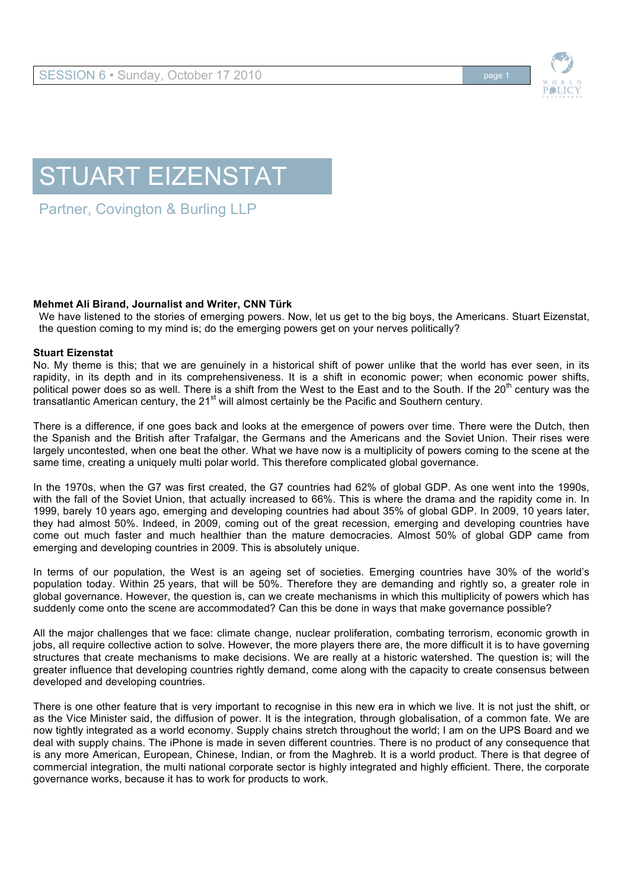

## STUART EIZENSTAT

Partner, Covington & Burling LLP

## **Mehmet Ali Birand, Journalist and Writer, CNN Türk**

We have listened to the stories of emerging powers. Now, let us get to the big boys, the Americans. Stuart Eizenstat, the question coming to my mind is; do the emerging powers get on your nerves politically?

## **Stuart Eizenstat**

No. My theme is this; that we are genuinely in a historical shift of power unlike that the world has ever seen, in its rapidity, in its depth and in its comprehensiveness. It is a shift in economic power; when economic power shifts, political power does so as well. There is a shift from the West to the East and to the South. If the 20<sup>th</sup> century was the transatlantic American century, the 21<sup>st</sup> will almost certainly be the Pacific and Southern century.

There is a difference, if one goes back and looks at the emergence of powers over time. There were the Dutch, then the Spanish and the British after Trafalgar, the Germans and the Americans and the Soviet Union. Their rises were largely uncontested, when one beat the other. What we have now is a multiplicity of powers coming to the scene at the same time, creating a uniquely multi polar world. This therefore complicated global governance.

In the 1970s, when the G7 was first created, the G7 countries had 62% of global GDP. As one went into the 1990s, with the fall of the Soviet Union, that actually increased to 66%. This is where the drama and the rapidity come in. In 1999, barely 10 years ago, emerging and developing countries had about 35% of global GDP. In 2009, 10 years later, they had almost 50%. Indeed, in 2009, coming out of the great recession, emerging and developing countries have come out much faster and much healthier than the mature democracies. Almost 50% of global GDP came from emerging and developing countries in 2009. This is absolutely unique.

In terms of our population, the West is an ageing set of societies. Emerging countries have 30% of the world's population today. Within 25 years, that will be 50%. Therefore they are demanding and rightly so, a greater role in global governance. However, the question is, can we create mechanisms in which this multiplicity of powers which has suddenly come onto the scene are accommodated? Can this be done in ways that make governance possible?

All the major challenges that we face: climate change, nuclear proliferation, combating terrorism, economic growth in jobs, all require collective action to solve. However, the more players there are, the more difficult it is to have governing structures that create mechanisms to make decisions. We are really at a historic watershed. The question is; will the greater influence that developing countries rightly demand, come along with the capacity to create consensus between developed and developing countries.

There is one other feature that is very important to recognise in this new era in which we live. It is not just the shift, or as the Vice Minister said, the diffusion of power. It is the integration, through globalisation, of a common fate. We are now tightly integrated as a world economy. Supply chains stretch throughout the world; I am on the UPS Board and we deal with supply chains. The iPhone is made in seven different countries. There is no product of any consequence that is any more American, European, Chinese, Indian, or from the Maghreb. It is a world product. There is that degree of commercial integration, the multi national corporate sector is highly integrated and highly efficient. There, the corporate governance works, because it has to work for products to work.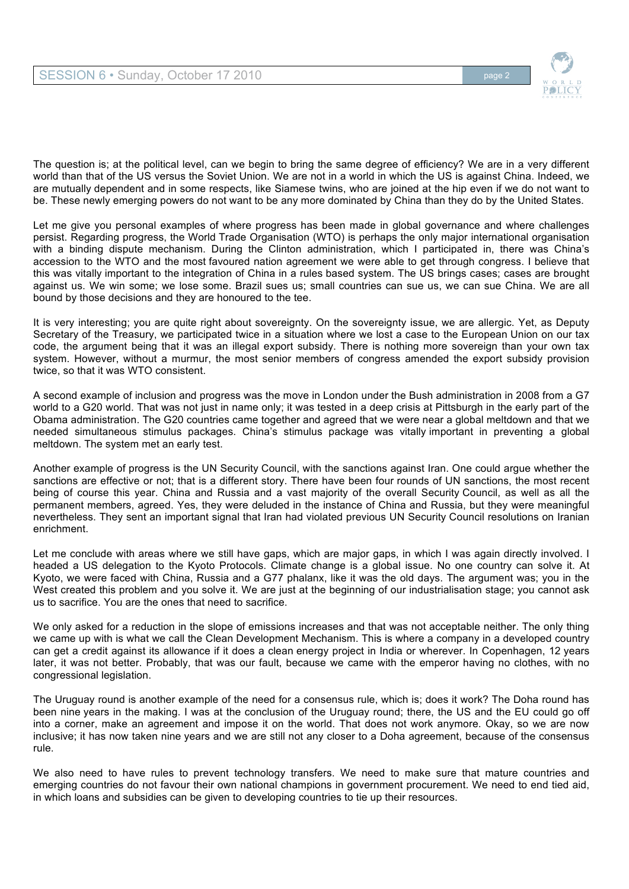

The question is; at the political level, can we begin to bring the same degree of efficiency? We are in a very different world than that of the US versus the Soviet Union. We are not in a world in which the US is against China. Indeed, we are mutually dependent and in some respects, like Siamese twins, who are joined at the hip even if we do not want to be. These newly emerging powers do not want to be any more dominated by China than they do by the United States.

Let me give you personal examples of where progress has been made in global governance and where challenges persist. Regarding progress, the World Trade Organisation (WTO) is perhaps the only major international organisation with a binding dispute mechanism. During the Clinton administration, which I participated in, there was China's accession to the WTO and the most favoured nation agreement we were able to get through congress. I believe that this was vitally important to the integration of China in a rules based system. The US brings cases; cases are brought against us. We win some; we lose some. Brazil sues us; small countries can sue us, we can sue China. We are all bound by those decisions and they are honoured to the tee.

It is very interesting; you are quite right about sovereignty. On the sovereignty issue, we are allergic. Yet, as Deputy Secretary of the Treasury, we participated twice in a situation where we lost a case to the European Union on our tax code, the argument being that it was an illegal export subsidy. There is nothing more sovereign than your own tax system. However, without a murmur, the most senior members of congress amended the export subsidy provision twice, so that it was WTO consistent.

A second example of inclusion and progress was the move in London under the Bush administration in 2008 from a G7 world to a G20 world. That was not just in name only; it was tested in a deep crisis at Pittsburgh in the early part of the Obama administration. The G20 countries came together and agreed that we were near a global meltdown and that we needed simultaneous stimulus packages. China's stimulus package was vitally important in preventing a global meltdown. The system met an early test.

Another example of progress is the UN Security Council, with the sanctions against Iran. One could argue whether the sanctions are effective or not; that is a different story. There have been four rounds of UN sanctions, the most recent being of course this year. China and Russia and a vast majority of the overall Security Council, as well as all the permanent members, agreed. Yes, they were deluded in the instance of China and Russia, but they were meaningful nevertheless. They sent an important signal that Iran had violated previous UN Security Council resolutions on Iranian enrichment.

Let me conclude with areas where we still have gaps, which are major gaps, in which I was again directly involved. I headed a US delegation to the Kyoto Protocols. Climate change is a global issue. No one country can solve it. At Kyoto, we were faced with China, Russia and a G77 phalanx, like it was the old days. The argument was; you in the West created this problem and you solve it. We are just at the beginning of our industrialisation stage; you cannot ask us to sacrifice. You are the ones that need to sacrifice.

We only asked for a reduction in the slope of emissions increases and that was not acceptable neither. The only thing we came up with is what we call the Clean Development Mechanism. This is where a company in a developed country can get a credit against its allowance if it does a clean energy project in India or wherever. In Copenhagen, 12 years later, it was not better. Probably, that was our fault, because we came with the emperor having no clothes, with no congressional legislation.

The Uruguay round is another example of the need for a consensus rule, which is; does it work? The Doha round has been nine years in the making. I was at the conclusion of the Uruguay round; there, the US and the EU could go off into a corner, make an agreement and impose it on the world. That does not work anymore. Okay, so we are now inclusive; it has now taken nine years and we are still not any closer to a Doha agreement, because of the consensus rule.

We also need to have rules to prevent technology transfers. We need to make sure that mature countries and emerging countries do not favour their own national champions in government procurement. We need to end tied aid, in which loans and subsidies can be given to developing countries to tie up their resources.